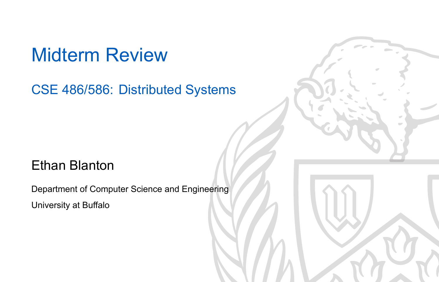### Midterm Review

CSE 486/586: Distributed Systems

### Ethan Blanton

Department of Computer Science and Engineering University at Buffalo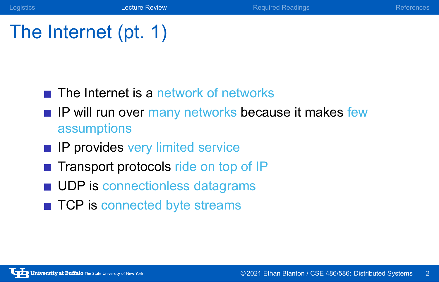### The Internet (pt. 1)

- $\blacksquare$  The Internet is a network of networks
- **IF Will run over many networks because it makes few** assumptions

Logistics **Lecture Review References** Required Readings References

- **IP provides very limited service**
- Transport protocols ride on top of IP
- **UDP** is connectionless datagrams
- TCP is connected byte streams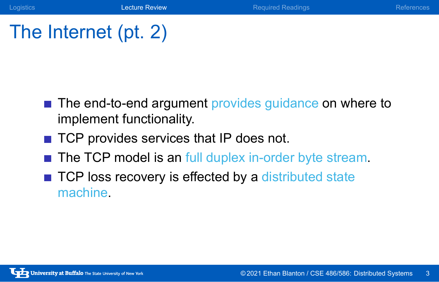# The Internet (pt. 2)

■ The end-to-end argument provides guidance on where to implement functionality.

Logistics Lecture Review Required Readings References

- TCP provides services that IP does not.
- The TCP model is an full duplex in-order byte stream.
- TCP loss recovery is effected by a distributed state machine.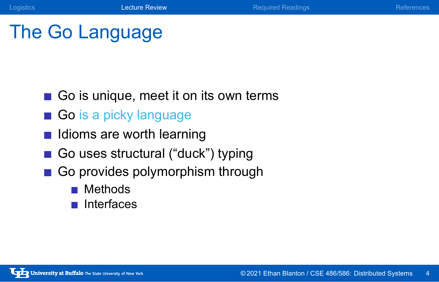# The Go Language

- Go is unique, meet it on its own terms
- Go is a picky language
- Idioms are worth learning
- Go uses structural ("duck") typing
- Go provides polymorphism through
	- **Methods**
	- $\blacksquare$  Interfaces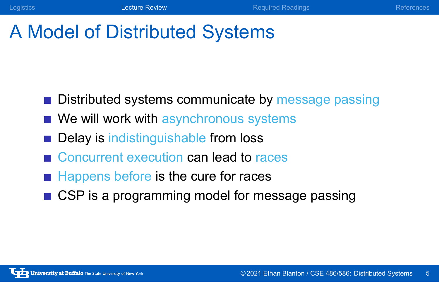# A Model of Distributed Systems

- **Distributed systems communicate by message passing**
- We will work with asynchronous systems
- Delay is indistinguishable from loss
- Concurrent execution can lead to races
- Happens before is the cure for races
- CSP is a programming model for message passing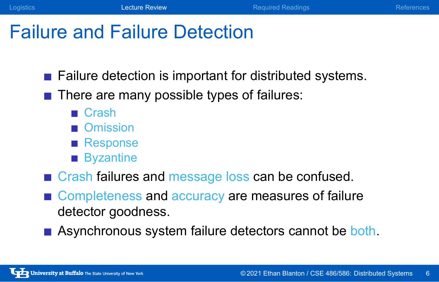Logistics **Lecture Review Lecture Review Required Readings** References References

### Failure and Failure Detection

- **Failure detection is important for distributed systems.**
- There are many possible types of failures:
	- Crash
	- Omission
	- Response
	- **Byzantine**
- Grash failures and message loss can be confused.
- Completeness and accuracy are measures of failure detector goodness.
- Asynchronous system failure detectors cannot be both.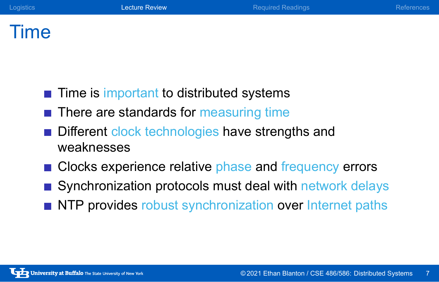### Time

- $\blacksquare$  Time is important to distributed systems
- There are standards for measuring time
- Different clock technologies have strengths and weaknesses
- Clocks experience relative phase and frequency errors
- Synchronization protocols must deal with network delays
- NTP provides robust synchronization over Internet paths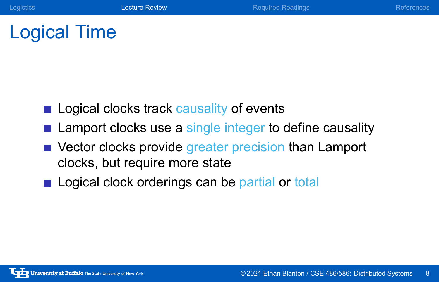Logical Time

- Logical clocks track causality of events
- **E** Lamport clocks use a single integer to define causality
- Vector clocks provide greater precision than Lamport clocks, but require more state
- Logical clock orderings can be partial or total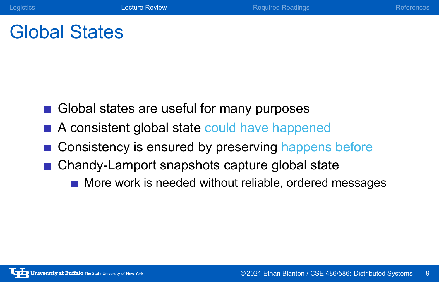### Global States

- Global states are useful for many purposes
- A consistent global state could have happened
- Consistency is ensured by preserving happens before

Logistics **Lecture Review Required Readings** References

- Chandy-Lamport snapshots capture global state
	- More work is needed without reliable, ordered messages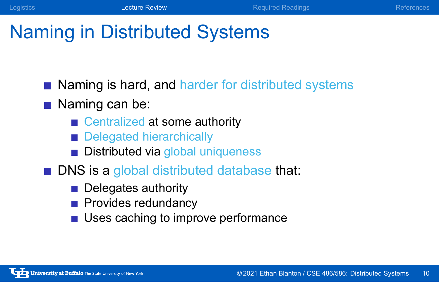### Naming in Distributed Systems

Naming is hard, and harder for distributed systems

### Naming can be:

- Centralized at some authority
- Delegated hierarchically
- **Distributed via global uniqueness**
- **DNS** is a global distributed database that:
	- Delegates authority
	- **Provides redundancy**
	- **Uses caching to improve performance**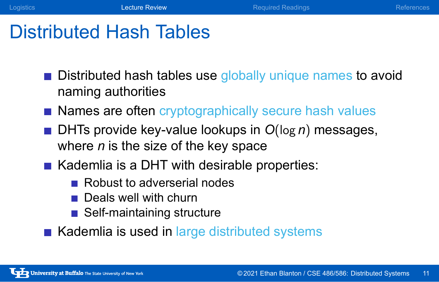### Distributed Hash Tables

**Distributed hash tables use globally unique names to avoid** naming authorities

Logistics **Lecture Review Readings** Required Readings References

- Names are often cryptographically secure hash values
- DHTs provide key-value lookups in *O*(log *n*) messages, where *n* is the size of the key space
- Kademlia is a DHT with desirable properties:
	- Robust to adverserial nodes
	- Deals well with churn
	- Self-maintaining structure
- Kademlia is used in large distributed systems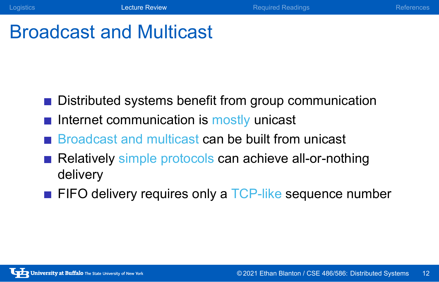### Broadcast and Multicast

- Distributed systems benefit from group communication
- $\blacksquare$  Internet communication is mostly unicast
- Broadcast and multicast can be built from unicast
- Relatively simple protocols can achieve all-or-nothing delivery
- FIFO delivery requires only a TCP-like sequence number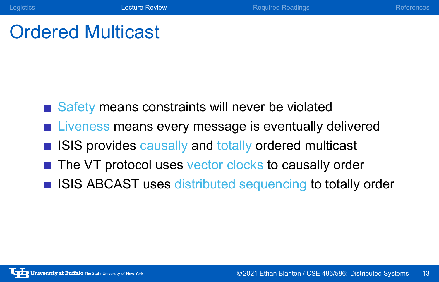# Ordered Multicast

- Safety means constraints will never be violated
- **Liveness means every message is eventually delivered**
- **ISIS provides causally and totally ordered multicast**
- The VT protocol uses vector clocks to causally order
- **ISIS ABCAST uses distributed sequencing to totally order**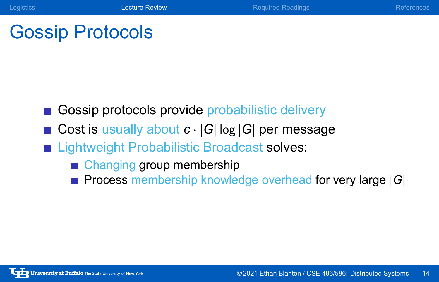# Gossip Protocols

- Gossip protocols provide probabilistic delivery
- Cost is usually about  $c \cdot |G| \log |G|$  per message

Logistics Lecture Review Required Readings References

- **Example 1** Lightweight Probabilistic Broadcast solves:
	- Changing group membership
	- Process membership knowledge overhead for very large *|G|*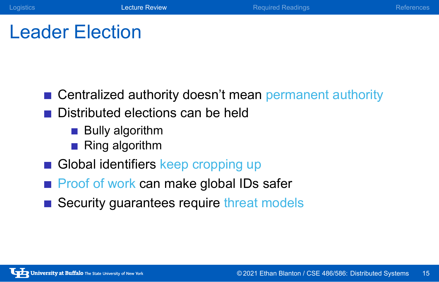Logistics **Lecture Review Community Republic Readings** References References

Leader Election

- Centralized authority doesn't mean permanent authority
- Distributed elections can be held
	- **Bully algorithm**
	- Ring algorithm
- Global identifiers keep cropping up
- **Proof of work can make global IDs safer**
- Security guarantees require threat models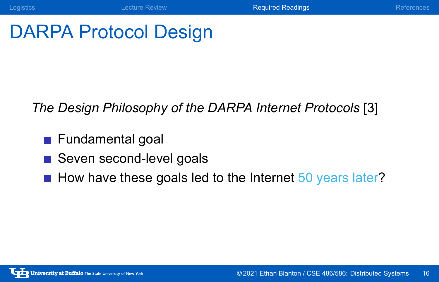# DARPA Protocol Design

*The Design Philosophy of the DARPA Internet Protocols* [3]

**Logistics Constitution Constitution Constitution Constitution Required Readings References** 

- **Fundamental goal**
- Seven second-level goals
- How have these goals led to the Internet  $50$  years later?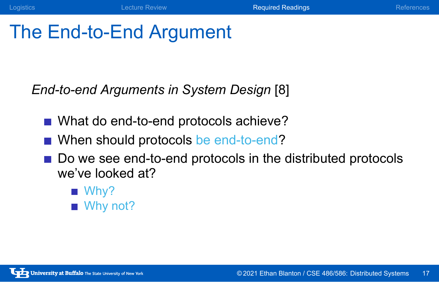### The End-to-End Argument

*End-to-end Arguments in System Design* [8]

- What do end-to-end protocols achieve?
- When should protocols be end-to-end?
- Do we see end-to-end protocols in the distributed protocols we've looked at?
	- Why?
	- Why not?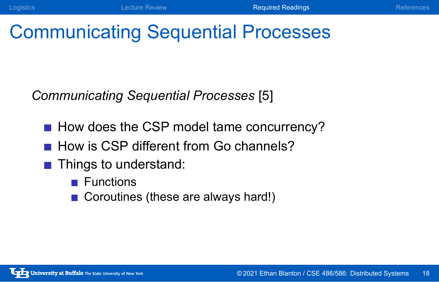# Communicating Sequential Processes

*Communicating Sequential Processes* [5]

- How does the CSP model tame concurrency?
- How is CSP different from Go channels?
- **Things to understand:** 
	- **Functions**
	- Coroutines (these are always hard!)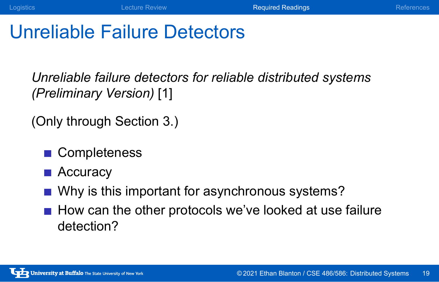### Unreliable Failure Detectors

*Unreliable failure detectors for reliable distributed systems (Preliminary Version)* [1]

(Only through Section 3.)

- **Completeness**
- **Accuracy**
- Why is this important for asynchronous systems?
- $\blacksquare$  How can the other protocols we've looked at use failure detection?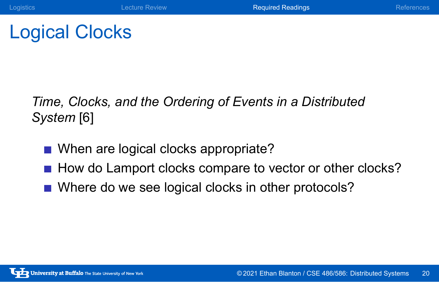# Logical Clocks

*Time, Clocks, and the Ordering of Events in a Distributed System* [6]

- When are logical clocks appropriate?
- How do Lamport clocks compare to vector or other clocks?

**Logistics Example 2 Lecture Review References Required Readings Required Readings References** 

Where do we see logical clocks in other protocols?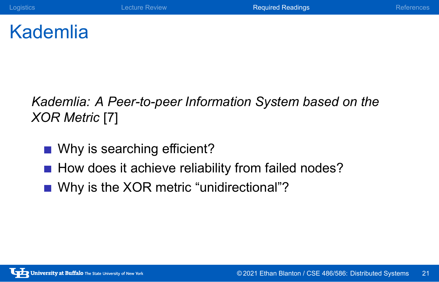### Kademlia

*Kademlia: A Peer-to-peer Information System based on the XOR Metric* [7]

**Logistics Example 2 Lecture Review Required Readings Required Readings Required Readings** 

- Why is searching efficient?
- How does it achieve reliability from failed nodes?
- Why is the XOR metric "unidirectional"?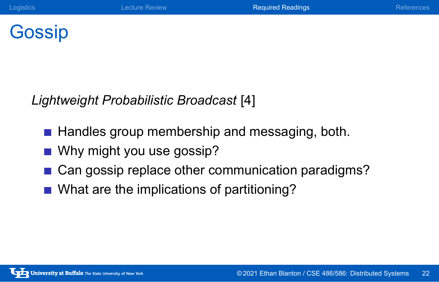Gossip

*Lightweight Probabilistic Broadcast* [4]

- Handles group membership and messaging, both.
- Why might you use gossip?
- Can gossip replace other communication paradigms?
- What are the implications of partitioning?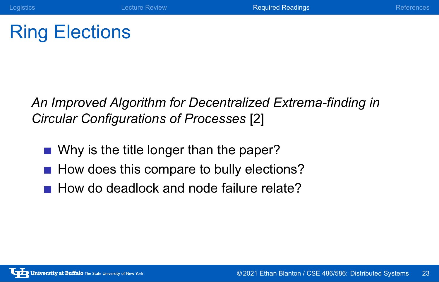# Ring Elections

*An Improved Algorithm for Decentralized Extrema-finding in Circular Configurations of Processes* [2]

Logistics **Lecture Review Required Readings** References

- Why is the title longer than the paper?
- How does this compare to bully elections?
- How do deadlock and node failure relate?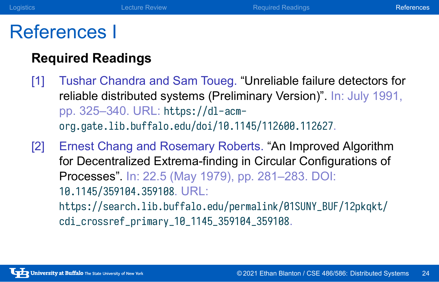### References I

### **Required Readings**

[1] Tushar Chandra and Sam Toueg. "Unreliable failure detectors for reliable distributed systems (Preliminary Version)". In: July 1991, pp. 325–340. URL: https://dl-acmorg.gate.lib.buffalo.edu/doi/10.1145/112600.112627.

**Logistics Lecture Review References** Required Readings **References** References

[2] Ernest Chang and Rosemary Roberts. "An Improved Algorithm for Decentralized Extrema-finding in Circular Configurations of Processes". In: 22.5 (May 1979), pp. 281–283. DOI: 10.1145/359104.359108. URL: https://search.lib.buffalo.edu/permalink/01SUNY\_BUF/12pkqkt/ cdi\_crossref\_primary\_10\_1145\_359104\_359108.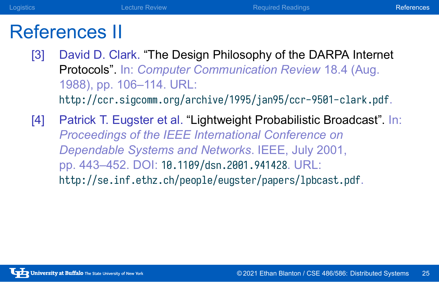### References II

[3] David D. Clark. "The Design Philosophy of the DARPA Internet Protocols". In: *Computer Communication Review* 18.4 (Aug. 1988), pp. 106–114. URL: http://ccr.sigcomm.org/archive/1995/jan95/ccr-9501-clark.pdf.

**Logistics Lecture Review References** Required Readings **References** References

[4] Patrick T. Eugster et al. "Lightweight Probabilistic Broadcast". In: *Proceedings of the IEEE International Conference on Dependable Systems and Networks*. IEEE, July 2001, pp. 443–452. DOI: 10.1109/dsn.2001.941428. URL: http://se.inf.ethz.ch/people/eugster/papers/lpbcast.pdf.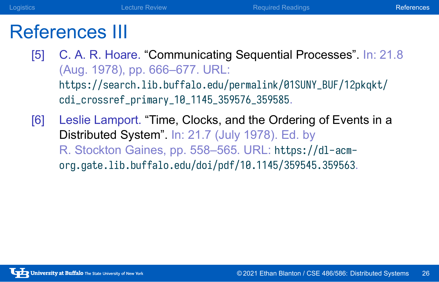### References III

[5] C. A. R. Hoare. "Communicating Sequential Processes". In: 21.8 (Aug. 1978), pp. 666–677. URL: https://search.lib.buffalo.edu/permalink/01SUNY\_BUF/12pkqkt/ cdi\_crossref\_primary\_10\_1145\_359576\_359585.

**Logistics Lecture Review References** Required Readings **References** References

[6] Leslie Lamport. "Time, Clocks, and the Ordering of Events in a Distributed System". In: 21.7 (July 1978). Ed. by R. Stockton Gaines, pp. 558–565. URL: https://dl-acmorg.gate.lib.buffalo.edu/doi/pdf/10.1145/359545.359563.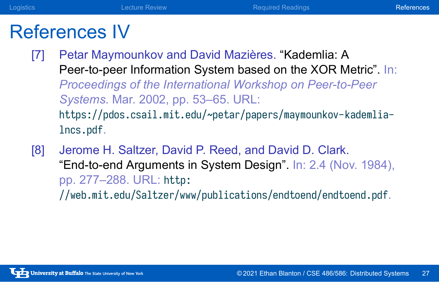### References IV

[7] Petar Maymounkov and David Mazières. "Kademlia: A Peer-to-peer Information System based on the XOR Metric". In: *Proceedings of the International Workshop on Peer-to-Peer Systems*. Mar. 2002, pp. 53–65. URL: https://pdos.csail.mit.edu/~petar/papers/maymounkov-kademlialncs.pdf.

**Logistics Constitution Constitution Constitution Constitution Required Readings References** 

[8] Jerome H. Saltzer, David P. Reed, and David D. Clark. "End-to-end Arguments in System Design". In: 2.4 (Nov. 1984), pp. 277–288. URL: http:

//web.mit.edu/Saltzer/www/publications/endtoend/endtoend.pdf.